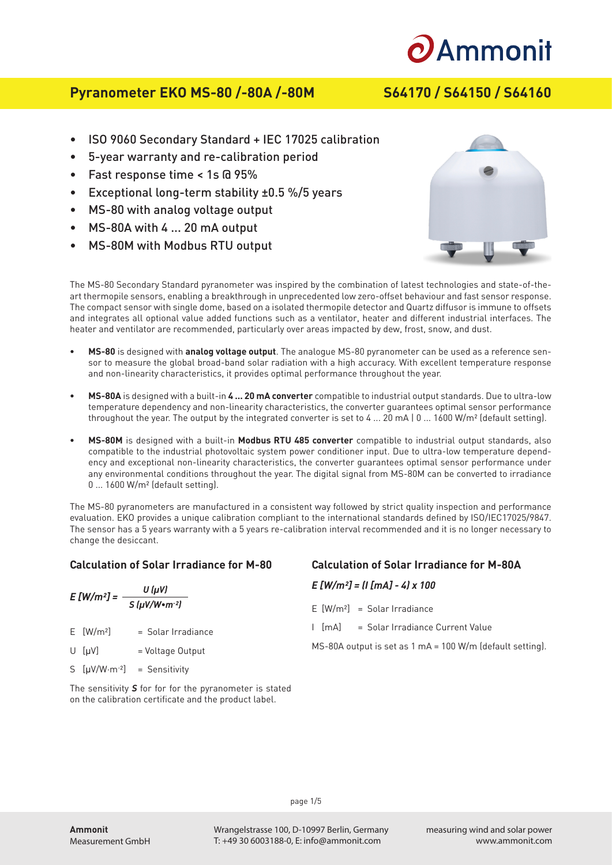

# **Pyranometer EKO MS-80 /-80A /-80M S64170 / S64150 / S64160**

- ISO 9060 Secondary Standard + IEC 17025 calibration
- 5-year warranty and re-calibration period
- Fast response time < 1s @ 95%
- Exceptional long-term stability ±0.5 %/5 years
- MS-80 with analog voltage output
- MS-80A with 4 ... 20 mA output
- MS-80M with Modbus RTU output



The MS-80 Secondary Standard pyranometer was inspired by the combination of latest technologies and state-of-theart thermopile sensors, enabling a breakthrough in unprecedented low zero-offset behaviour and fast sensor response. The compact sensor with single dome, based on a isolated thermopile detector and Quartz diffusor is immune to offsets and integrates all optional value added functions such as a ventilator, heater and different industrial interfaces. The heater and ventilator are recommended, particularly over areas impacted by dew, frost, snow, and dust.

- **• MS-80** is designed with **analog voltage output**. The analogue MS-80 pyranometer can be used as a reference sensor to measure the global broad-band solar radiation with a high accuracy. With excellent temperature response and non-linearity characteristics, it provides optimal performance throughout the year.
- **• MS-80A** is designed with a built-in **4 ... 20 mA converter** compatible to industrial output standards. Due to ultra-low temperature dependency and non-linearity characteristics, the converter guarantees optimal sensor performance throughout the year. The output by the integrated converter is set to 4 ... 20 mA  $|0 \dots 1600 \text{ W/m}^2$  (default setting).
- **• MS-80M** is designed with a built-in **Modbus RTU 485 converter** compatible to industrial output standards, also compatible to the industrial photovoltaic system power conditioner input. Due to ultra-low temperature dependency and exceptional non-linearity characteristics, the converter guarantees optimal sensor performance under any environmental conditions throughout the year. The digital signal from MS-80M can be converted to irradiance 0 ... 1600 W/m² (default setting).

The MS-80 pyranometers are manufactured in a consistent way followed by strict quality inspection and performance evaluation. EKO provides a unique calibration compliant to the international standards defined by ISO/IEC17025/9847. The sensor has a 5 years warranty with a 5 years re-calibration interval recommended and it is no longer necessary to change the desiccant.

## **Calculation of Solar Irradiance for M-80**

| $E[W/m^2] =$ |                         | U (µV)                                   |
|--------------|-------------------------|------------------------------------------|
|              |                         | $S(\mu V/W \cdot m^{-2})$                |
|              | $E$ [W/m <sup>2</sup> ] | $=$ Solar Irradiance                     |
|              | $U$ [µ $V$ ]            | = Voltage Output                         |
|              |                         | S $[\mu V/W \cdot m^{-2}]$ = Sensitivity |

The sensitivity *S* for for for the pyranometer is stated on the calibration certificate and the product label.

# **Calculation of Solar Irradiance for M-80A**

### *E [W/m²] = (I [mA] - 4) x 100*

- $F$   $[W/m^2]$  = Solar Irradiance
- I [mA] = Solar Irradiance Current Value

MS-80A output is set as 1 mA = 100 W/m (default setting).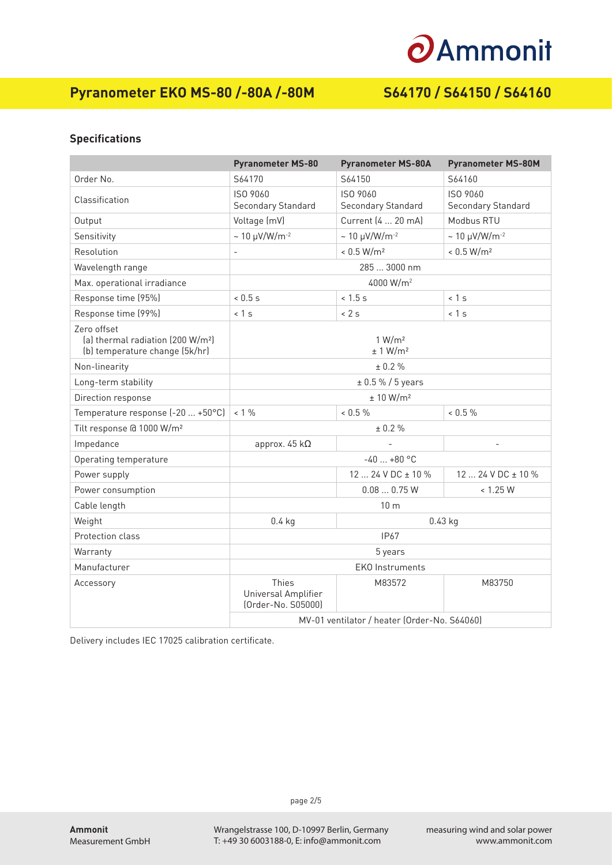# **O**Ammonit

# **Pyranometer EKO MS-80 /-80A /-80M S64170 / S64150 / S64160**

## **Specifications**

|                                                                                                | <b>Pyranometer MS-80</b>                                  | <b>Pyranometer MS-80A</b>      | <b>Pyranometer MS-80M</b>      |  |
|------------------------------------------------------------------------------------------------|-----------------------------------------------------------|--------------------------------|--------------------------------|--|
| Order No.                                                                                      | S64170                                                    | S64150                         | S64160                         |  |
| Classification                                                                                 | ISO 9060<br>Secondary Standard                            | ISO 9060<br>Secondary Standard | ISO 9060<br>Secondary Standard |  |
| Output                                                                                         | Voltage (mV)                                              | Current (4  20 mA)             | Modbus RTU                     |  |
| Sensitivity                                                                                    | $\sim 10 \ \mu V/W/m^{-2}$                                | $\sim 10 \mu V/W/m^{-2}$       | $\sim 10 \ \mu V/W/m^{-2}$     |  |
| Resolution                                                                                     | $\overline{\phantom{a}}$                                  | < 0.5 W/m <sup>2</sup>         | < 0.5 W/m <sup>2</sup>         |  |
| Wavelength range                                                                               | 285  3000 nm                                              |                                |                                |  |
| Max. operational irradiance                                                                    | 4000 W/m <sup>2</sup>                                     |                                |                                |  |
| Response time (95%)                                                                            | 0.5s                                                      | $< 1.5$ s                      | < 1 s                          |  |
| Response time (99%)                                                                            | < 1 s                                                     | < 2 s                          | < 1 s                          |  |
| Zero offset<br>(a) thermal radiation (200 W/m <sup>2</sup> )<br>(b) temperature change (5k/hr) | 1 W/m <sup>2</sup><br>± 1 W/m <sup>2</sup>                |                                |                                |  |
| Non-linearity                                                                                  | ± 0.2 %                                                   |                                |                                |  |
| Long-term stability                                                                            | ± 0.5 % / 5 years                                         |                                |                                |  |
| Direction response                                                                             | ± 10 W/m <sup>2</sup>                                     |                                |                                |  |
| Temperature response (-20  +50°C)                                                              | $< 1\%$                                                   | $< 0.5 \%$                     | 0.5%                           |  |
| Tilt response @ 1000 W/m <sup>2</sup>                                                          | ± 0.2 %                                                   |                                |                                |  |
| Impedance                                                                                      | approx. $45 k\Omega$                                      |                                |                                |  |
| Operating temperature                                                                          | $-40+80$ °C                                               |                                |                                |  |
| Power supply                                                                                   |                                                           | 12  24 V DC ± 10 %             | 12  24 V DC ± 10 %             |  |
| Power consumption                                                                              |                                                           | 0.080.75W                      | < 1.25 W                       |  |
| Cable length                                                                                   | 10 <sub>m</sub>                                           |                                |                                |  |
| Weight                                                                                         | $0.4$ kg<br>$0.43$ kg                                     |                                |                                |  |
| Protection class                                                                               | IP67                                                      |                                |                                |  |
| Warranty                                                                                       | 5 years                                                   |                                |                                |  |
| Manufacturer                                                                                   | <b>EKO Instruments</b>                                    |                                |                                |  |
| Accessory                                                                                      | <b>Thies</b><br>Universal Amplifier<br>(Order-No. S05000) | M83572                         | M83750                         |  |
|                                                                                                | MV-01 ventilator / heater (Order-No. S64060)              |                                |                                |  |

Delivery includes IEC 17025 calibration certificate.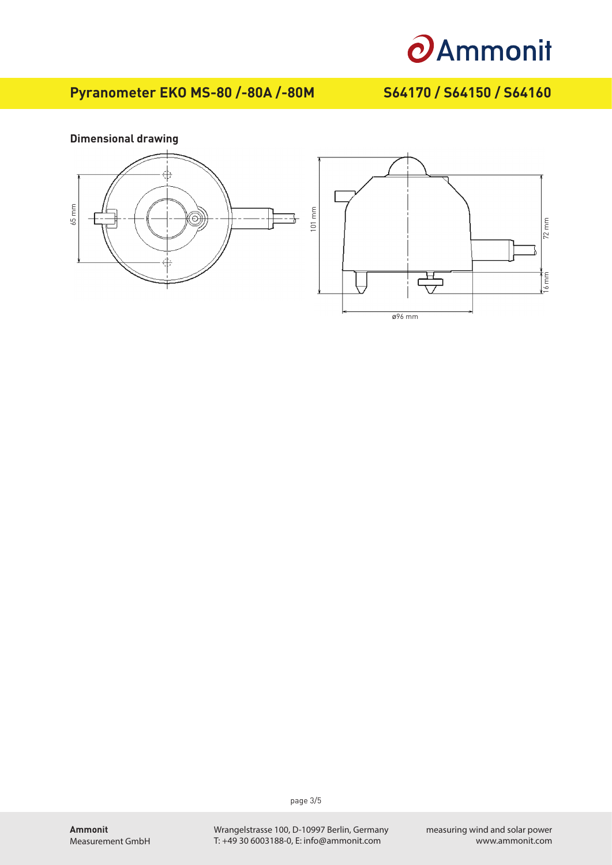

72 mm

16 mm

# **Pyranometer EKO MS-80 /-80A /-80M S64170 / S64150 / S64160**



page 3/5

Wrangelstrasse 100, D-10997 Berlin, Germany T: +49 30 6003188-0, E: info@ammonit.com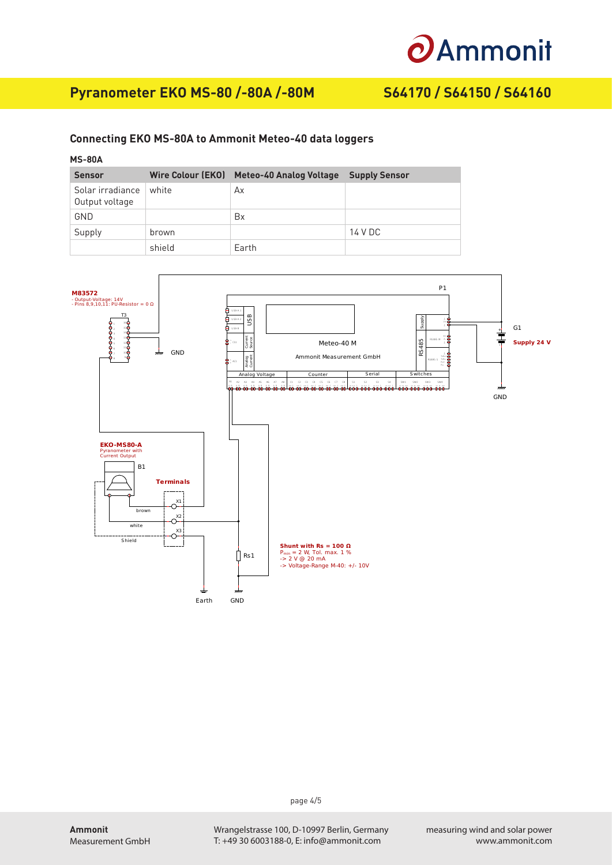# **O**Ammonit

# **Pyranometer EKO MS-80 /-80A /-80M S64170 / S64150 / S64160**

### **Connecting EKO MS-80A to Ammonit Meteo-40 data loggers**

## **MS-80A**

| <b>Sensor</b>                      | Wire Colour (EKO) | <b>Meteo-40 Analog Voltage</b> | <b>Supply Sensor</b> |
|------------------------------------|-------------------|--------------------------------|----------------------|
| Solar irradiance<br>Output voltage | white             | Ax                             |                      |
| GND                                |                   | Bx                             |                      |
| Supply                             | brown             |                                | 14 V DC              |
|                                    | shield            | Earth                          |                      |



page 4/5